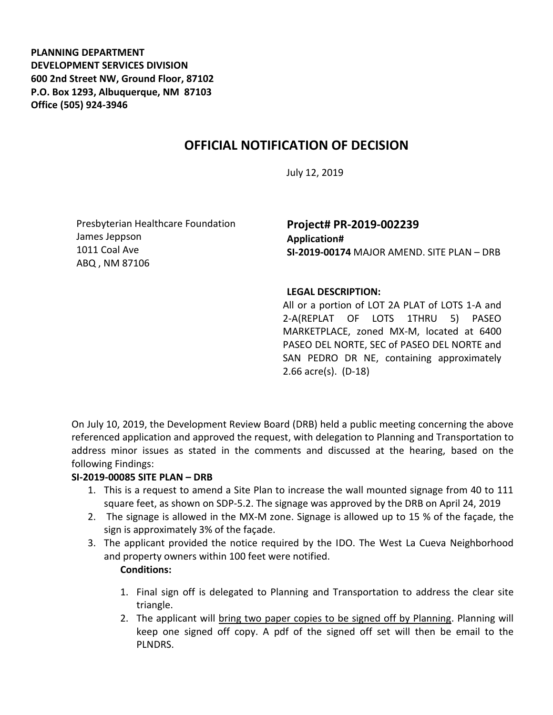**PLANNING DEPARTMENT DEVELOPMENT SERVICES DIVISION 600 2nd Street NW, Ground Floor, 87102 P.O. Box 1293, Albuquerque, NM 87103 Office (505) 924-3946** 

## **OFFICIAL NOTIFICATION OF DECISION**

July 12, 2019

Presbyterian Healthcare Foundation James Jeppson 1011 Coal Ave ABQ , NM 87106

### **Project# PR-2019-002239 Application# SI-2019-00174** MAJOR AMEND. SITE PLAN – DRB

#### **LEGAL DESCRIPTION:**

All or a portion of LOT 2A PLAT of LOTS 1-A and 2-A(REPLAT OF LOTS 1THRU 5) PASEO MARKETPLACE, zoned MX-M, located at 6400 PASEO DEL NORTE, SEC of PASEO DEL NORTE and SAN PEDRO DR NE, containing approximately 2.66 acre(s). (D-18)

On July 10, 2019, the Development Review Board (DRB) held a public meeting concerning the above referenced application and approved the request, with delegation to Planning and Transportation to address minor issues as stated in the comments and discussed at the hearing, based on the following Findings:

#### **SI-2019-00085 SITE PLAN – DRB**

- 1. This is a request to amend a Site Plan to increase the wall mounted signage from 40 to 111 square feet, as shown on SDP-5.2. The signage was approved by the DRB on April 24, 2019
- 2. The signage is allowed in the MX-M zone. Signage is allowed up to 15 % of the façade, the sign is approximately 3% of the façade.
- 3. The applicant provided the notice required by the IDO. The West La Cueva Neighborhood and property owners within 100 feet were notified.

# **Conditions:**

- 1. Final sign off is delegated to Planning and Transportation to address the clear site triangle.
- 2. The applicant will bring two paper copies to be signed off by Planning. Planning will keep one signed off copy. A pdf of the signed off set will then be email to the PLNDRS.